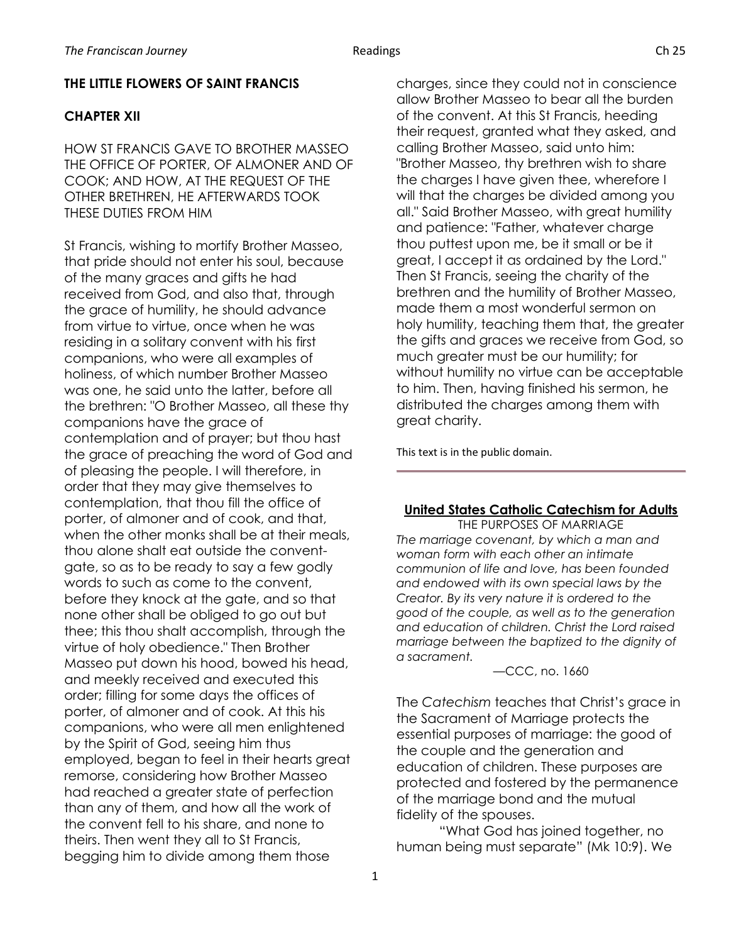## **THE LITTLE FLOWERS OF SAINT FRANCIS**

# **CHAPTER XII**

HOW ST FRANCIS GAVE TO BROTHER MASSEO THE OFFICE OF PORTER, OF ALMONER AND OF COOK; AND HOW, AT THE REQUEST OF THE OTHER BRETHREN, HE AFTERWARDS TOOK THESE DUTIES FROM HIM

St Francis, wishing to mortify Brother Masseo, that pride should not enter his soul, because of the many graces and gifts he had received from God, and also that, through the grace of humility, he should advance from virtue to virtue, once when he was residing in a solitary convent with his first companions, who were all examples of holiness, of which number Brother Masseo was one, he said unto the latter, before all the brethren: "O Brother Masseo, all these thy companions have the grace of contemplation and of prayer; but thou hast the grace of preaching the word of God and of pleasing the people. I will therefore, in order that they may give themselves to contemplation, that thou fill the office of porter, of almoner and of cook, and that, when the other monks shall be at their meals. thou alone shalt eat outside the conventgate, so as to be ready to say a few godly words to such as come to the convent, before they knock at the gate, and so that none other shall be obliged to go out but thee; this thou shalt accomplish, through the virtue of holy obedience." Then Brother Masseo put down his hood, bowed his head, and meekly received and executed this order; filling for some days the offices of porter, of almoner and of cook. At this his companions, who were all men enlightened by the Spirit of God, seeing him thus employed, began to feel in their hearts great remorse, considering how Brother Masseo had reached a greater state of perfection than any of them, and how all the work of the convent fell to his share, and none to theirs. Then went they all to St Francis, begging him to divide among them those

charges, since they could not in conscience allow Brother Masseo to bear all the burden of the convent. At this St Francis, heeding their request, granted what they asked, and calling Brother Masseo, said unto him: "Brother Masseo, thy brethren wish to share the charges I have given thee, wherefore I will that the charges be divided among you all." Said Brother Masseo, with great humility and patience: "Father, whatever charge thou puttest upon me, be it small or be it great, I accept it as ordained by the Lord." Then St Francis, seeing the charity of the brethren and the humility of Brother Masseo, made them a most wonderful sermon on holy humility, teaching them that, the greater the gifts and graces we receive from God, so much greater must be our humility; for without humility no virtue can be acceptable to him. Then, having finished his sermon, he distributed the charges among them with great charity.

This text is in the public domain.

## **United States Catholic Catechism for Adults**

THE PURPOSES OF MARRIAGE *The marriage covenant, by which a man and woman form with each other an intimate communion of life and love, has been founded and endowed with its own special laws by the Creator. By its very nature it is ordered to the good of the couple, as well as to the generation and education of children. Christ the Lord raised marriage between the baptized to the dignity of a sacrament.*

—CCC, no. 1660

The *Catechism* teaches that Christ's grace in the Sacrament of Marriage protects the essential purposes of marriage: the good of the couple and the generation and education of children. These purposes are protected and fostered by the permanence of the marriage bond and the mutual fidelity of the spouses.

"What God has joined together, no human being must separate" (Mk 10:9). We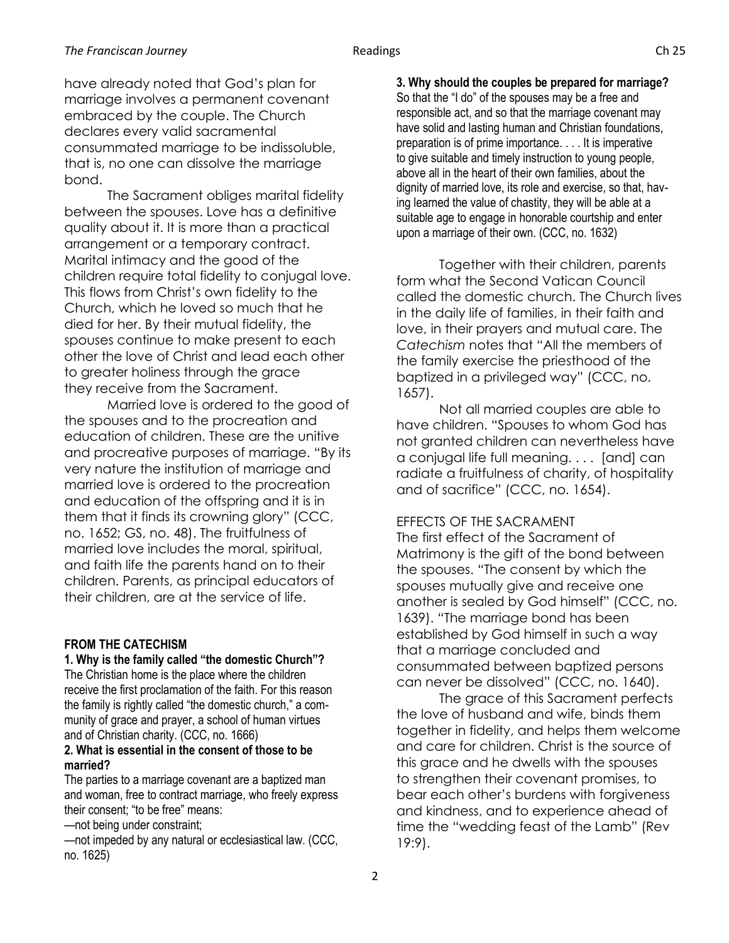#### **The Franciscan Journey Ch 25 Ch 25 Readings Ch 25 Ch 25**

have already noted that God's plan for marriage involves a permanent covenant embraced by the couple. The Church declares every valid sacramental consummated marriage to be indissoluble, that is, no one can dissolve the marriage bond.

The Sacrament obliges marital fidelity between the spouses. Love has a definitive quality about it. It is more than a practical arrangement or a temporary contract. Marital intimacy and the good of the children require total fidelity to conjugal love. This flows from Christ's own fidelity to the Church, which he loved so much that he died for her. By their mutual fidelity, the spouses continue to make present to each other the love of Christ and lead each other to greater holiness through the grace they receive from the Sacrament.

Married love is ordered to the good of the spouses and to the procreation and education of children. These are the unitive and procreative purposes of marriage. "By its very nature the institution of marriage and married love is ordered to the procreation and education of the offspring and it is in them that it finds its crowning glory" (CCC, no. 1652; GS, no. 48). The fruitfulness of married love includes the moral, spiritual, and faith life the parents hand on to their children. Parents, as principal educators of their children, are at the service of life.

#### **FROM THE CATECHISM**

**1. Why is the family called "the domestic Church"?** The Christian home is the place where the children receive the first proclamation of the faith. For this reason the family is rightly called "the domestic church," a community of grace and prayer, a school of human virtues and of Christian charity. (CCC, no. 1666)

## **2. What is essential in the consent of those to be married?**

The parties to a marriage covenant are a baptized man and woman, free to contract marriage, who freely express their consent; "to be free" means:

—not being under constraint;

—not impeded by any natural or ecclesiastical law. (CCC, no. 1625)

**3. Why should the couples be prepared for marriage?** So that the "I do" of the spouses may be a free and responsible act, and so that the marriage covenant may have solid and lasting human and Christian foundations, preparation is of prime importance. . . . It is imperative to give suitable and timely instruction to young people, above all in the heart of their own families, about the dignity of married love, its role and exercise, so that, having learned the value of chastity, they will be able at a suitable age to engage in honorable courtship and enter upon a marriage of their own. (CCC, no. 1632)

Together with their children, parents form what the Second Vatican Council called the domestic church. The Church lives in the daily life of families, in their faith and love, in their prayers and mutual care. The *Catechism* notes that "All the members of the family exercise the priesthood of the baptized in a privileged way" (CCC, no. 1657).

Not all married couples are able to have children. "Spouses to whom God has not granted children can nevertheless have a conjugal life full meaning. . . . [and] can radiate a fruitfulness of charity, of hospitality and of sacrifice" (CCC, no. 1654).

## EFFECTS OF THE SACRAMENT

The first effect of the Sacrament of Matrimony is the gift of the bond between the spouses. "The consent by which the spouses mutually give and receive one another is sealed by God himself" (CCC, no. 1639). "The marriage bond has been established by God himself in such a way that a marriage concluded and consummated between baptized persons can never be dissolved" (CCC, no. 1640).

The grace of this Sacrament perfects the love of husband and wife, binds them together in fidelity, and helps them welcome and care for children. Christ is the source of this grace and he dwells with the spouses to strengthen their covenant promises, to bear each other's burdens with forgiveness and kindness, and to experience ahead of time the "wedding feast of the Lamb" (Rev 19:9).